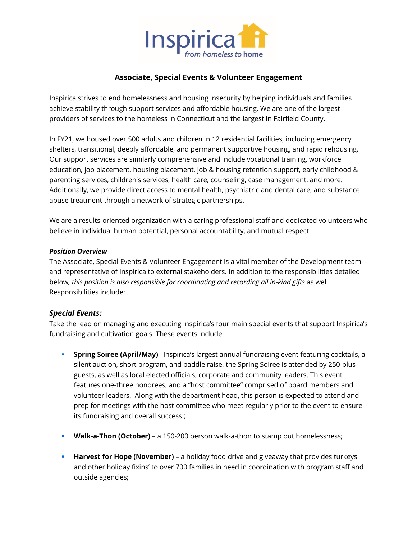

# **Associate, Special Events & Volunteer Engagement**

Inspirica strives to end homelessness and housing insecurity by helping individuals and families achieve stability through support services and affordable housing. We are one of the largest providers of services to the homeless in Connecticut and the largest in Fairfield County.

In FY21, we housed over 500 adults and children in 12 residential facilities, including emergency shelters, transitional, deeply affordable, and permanent supportive housing, and rapid rehousing. Our support services are similarly comprehensive and include vocational training, workforce education, job placement, housing placement, job & housing retention support, early childhood & parenting services, children's services, health care, counseling, case management, and more. Additionally, we provide direct access to mental health, psychiatric and dental care, and substance abuse treatment through a network of strategic partnerships.

We are a results-oriented organization with a caring professional staff and dedicated volunteers who believe in individual human potential, personal accountability, and mutual respect.

#### *Position Overview*

The Associate, Special Events & Volunteer Engagement is a vital member of the Development team and representative of Inspirica to external stakeholders. In addition to the responsibilities detailed below*, this position is also responsible for coordinating and recording all in-kind gifts* as well. Responsibilities include:

## *Special Events:*

Take the lead on managing and executing Inspirica's four main special events that support Inspirica's fundraising and cultivation goals. These events include:

- **Spring Soiree (April/May)** -Inspirica's largest annual fundraising event featuring cocktails, a silent auction, short program, and paddle raise, the Spring Soiree is attended by 250-plus guests, as well as local elected officials, corporate and community leaders. This event features one-three honorees, and a "host committee" comprised of board members and volunteer leaders. Along with the department head, this person is expected to attend and prep for meetings with the host committee who meet regularly prior to the event to ensure its fundraising and overall success.;
- **Walk-a-Thon (October)** a 150-200 person walk-a-thon to stamp out homelessness;
- **Harvest for Hope (November)** a holiday food drive and giveaway that provides turkeys and other holiday fixins' to over 700 families in need in coordination with program staff and outside agencies;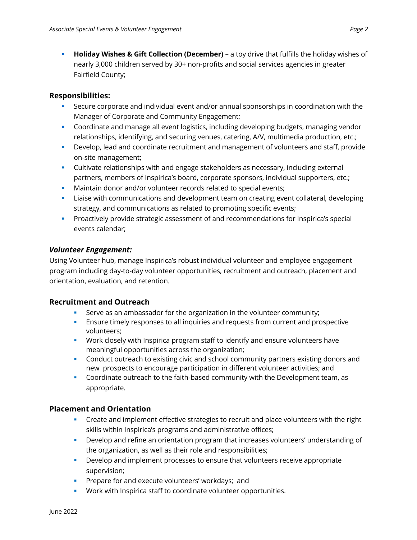§ **Holiday Wishes & Gift Collection (December)** – a toy drive that fulfills the holiday wishes of nearly 3,000 children served by 30+ non-profits and social services agencies in greater Fairfield County;

# **Responsibilities:**

- § Secure corporate and individual event and/or annual sponsorships in coordination with the Manager of Corporate and Community Engagement;
- § Coordinate and manage all event logistics, including developing budgets, managing vendor relationships, identifying, and securing venues, catering, A/V, multimedia production, etc.;
- § Develop, lead and coordinate recruitment and management of volunteers and staff, provide on-site management;
- § Cultivate relationships with and engage stakeholders as necessary, including external partners, members of Inspirica's board, corporate sponsors, individual supporters, etc.;
- **Maintain donor and/or volunteer records related to special events;**
- **■** Liaise with communications and development team on creating event collateral, developing strategy, and communications as related to promoting specific events;
- **•** Proactively provide strategic assessment of and recommendations for Inspirica's special events calendar;

## *Volunteer Engagement:*

Using Volunteer hub, manage Inspirica's robust individual volunteer and employee engagement program including day-to-day volunteer opportunities, recruitment and outreach, placement and orientation, evaluation, and retention.

## **Recruitment and Outreach**

- § Serve as an ambassador for the organization in the volunteer community;
- **E** Ensure timely responses to all inquiries and requests from current and prospective volunteers;
- § Work closely with Inspirica program staff to identify and ensure volunteers have meaningful opportunities across the organization;
- **Conduct outreach to existing civic and school community partners existing donors and** new prospects to encourage participation in different volunteer activities; and
- § Coordinate outreach to the faith-based community with the Development team, as appropriate.

# **Placement and Orientation**

- Create and implement effective strategies to recruit and place volunteers with the right skills within Inspirica's programs and administrative offices;
- § Develop and refine an orientation program that increases volunteers' understanding of the organization, as well as their role and responsibilities;
- § Develop and implement processes to ensure that volunteers receive appropriate supervision;
- **•** Prepare for and execute volunteers' workdays; and
- § Work with Inspirica staff to coordinate volunteer opportunities.